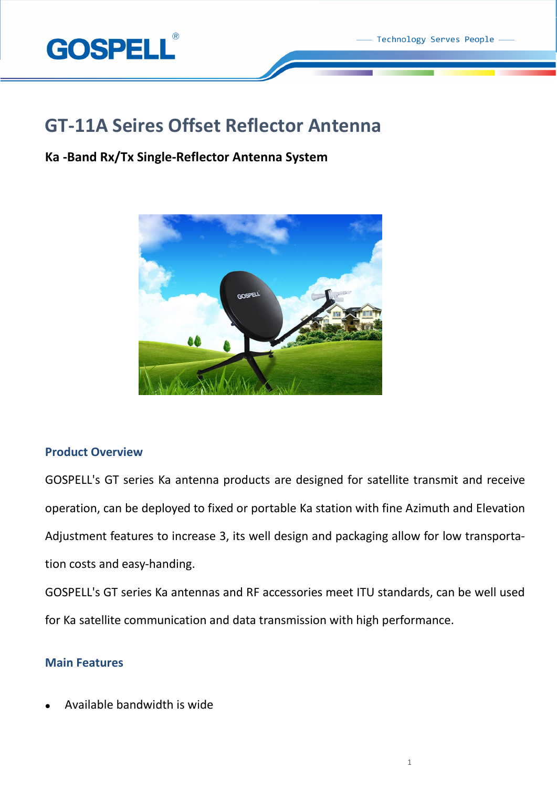

# **GT-11A Seires Offset Reflector Antenna**

# **Ka -Band Rx/Tx Single-Reflector Antenna System**



# **Product Overview**

GOSPELL's GT series Ka antenna products are designed for satellite transmit and receive operation, can be deployed to fixed or portable Ka station with fine Azimuth and Elevation Adjustment features to increase 3, its well design and packaging allow for low transportation costs and easy-handing.

GOSPELL's GT series Ka antennas and RF accessories meet ITU standards, can be well used for Ka satellite communication and data transmission with high performance.

# **Main Features**

Available bandwidth is wide